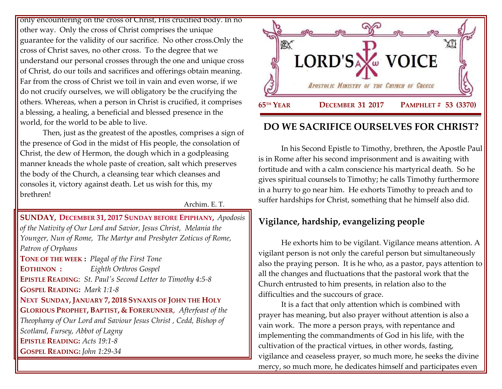only encountering on the cross of Christ, His crucified body. In no other way. Only the cross of Christ comprises the unique guarantee for the validity of our sacrifice. No other cross.Only the cross of Christ saves, no other cross. To the degree that we understand our personal crosses through the one and unique cross of Christ, do our toils and sacrifices and offerings obtain meaning. Far from the cross of Christ we toil in vain and even worse, if we do not crucify ourselves, we will obligatory be the crucifying the others. Whereas, when a person in Christ is crucified, it comprises a blessing, a healing, a beneficial and blessed presence in the world, for the world to be able to live.

Then, just as the greatest of the apostles, comprises a sign of the presence of God in the midst of His people, the consolation of Christ, the dew of Hermon, the dough which in a godpleasing manner kneads the whole paste of creation, salt which preserves the body of the Church, a cleansing tear which cleanses and consoles it, victory against death. Let us wish for this, my brethren!

Archim. E. T.

### **SUNDAY, DECEMBER 31, 2017 S[UNDAY BEFORE](https://www.goarch.org/chapel/saints?contentid=1164&PCode=SBE&D=S&date=12/31/2017) EPIPHANY,** *[Apodosis](https://www.goarch.org/chapel/saints?contentid=361)  [of the Nativity of Our Lord and Savior, Jesus Christ, M](https://www.goarch.org/chapel/saints?contentid=361)elania the Younger, Nun of Rome, The Martyr and Presbyter Zoticus of Rome, Patron of Orphans* **TONE OF THE WEEK :** *Plagal of the First Tone* **EOTHINON :** *Eighth Orthros Gospel* **EPISTLE READING**: *[St. Paul's Second Letter to Timothy 4:5-8](https://www.goarch.org/chapel/lectionary?type=epistle&code=27&event=940&date=5/28/2017)* **GOSPEL READING:** *[Mark 1:1-8](https://www.goarch.org/chapel/lectionary?type=gospel&code=43&event=940&date=5/28/2017)*  **NEXT SUNDAY, JANUARY 7, 2018 SYNAXIS OF JOHN THE HOLY GLORIOUS PROPHET, BAPTIST, & FORERUNNER**, *[Afterfeast of the](https://www.goarch.org/chapel/saints?contentid=2411)  [Theophany of Our Lord and Saviour Jesus Christ ,](https://www.goarch.org/chapel/saints?contentid=2411) Cedd, Bishop of Scotland, Fursey, Abbot of Lagny*  **EPISTLE READING:** *[Acts 19:1-8](https://www.goarch.org/chapel/lectionary?type=epistle&code=22&event=375&date=1/7/2018)*  **GOSPEL READING:** *[John 1:29-34](https://www.goarch.org/chapel/lectionary?type=gospel&code=352&event=375&date=1/7/2018)*



# **DO WE SACRIFICE OURSELVES FOR CHRIST?**

In his Second Epistle to Timothy, brethren, the Apostle Paul is in Rome after his second imprisonment and is awaiting with fortitude and with a calm conscience his martyrical death. So he gives spiritual counsels to Timothy; he calls Timothy furthermore in a hurry to go near him. He exhorts Timothy to preach and to suffer hardships for Christ, something that he himself also did.

## **Vigilance, hardship, evangelizing people**

He exhorts him to be vigilant. Vigilance means attention. A vigilant person is not only the careful person but simultaneously also the praying person. It is he who, as a pastor, pays attention to all the changes and fluctuations that the pastoral work that the Church entrusted to him presents, in relation also to the difficulties and the succours of grace.

It is a fact that only attention which is combined with prayer has meaning, but also prayer without attention is also a vain work. The more a person prays, with repentance and implementing the commandments of God in his life, with the cultivation of the practical virtues, in other words, fasting, vigilance and ceaseless prayer, so much more, he seeks the divine mercy, so much more, he dedicates himself and participates even